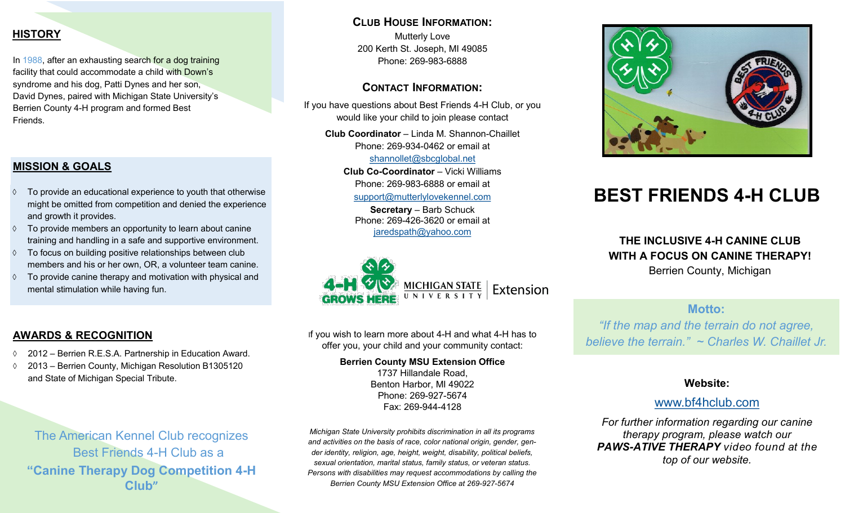# <span id="page-0-0"></span>**HISTORY**

In 1988, after an exhausting search for a dog training facility that could accommodate a child with Down's syndrome and his dog, Patti Dynes and her son, David Dynes, paired with Michigan State University's Berrien County 4-H program and formed Best Friends.

### **MISSION & GOALS**

- $\Diamond$  To provide an educational experience to youth that otherwise might be omitted from competition and denied the experience and growth it provides.
- $\Diamond$  To provide members an opportunity to learn about canine training and handling in a safe and supportive environment.
- $\Diamond$  To focus on building positive relationships between club members and his or her own, OR, a volunteer team canine.
- $\Diamond$  To provide canine therapy and motivation with physical and mental stimulation while having fun.

### **CLUB HOUSE INFORMATION:**

Mutterly Love 200 Kerth St. Joseph, MI 49085 Phone: 269-983-6888

### **CONTACT INFORMATION:**

If you have questions about Best Friends 4-H Club, or you would like your child to join please contact

**Club Coordinator** – Linda M. Shannon-Chaillet Phone: 269-934-0462 or email at

[shannollet@sbcglobal.net](mailto:shannollet@sbcglobal.net)

**Club Co-Coordinator** – Vicki Williams Phone: 269-983-6888 or email at [support@mutterlylovekennel.com](mailto:support@mutterlylovekennel.com)

**Secretary** – Barb Schuck Phone: 269-426-3620 or email at [jaredspath@yahoo.com](mailto:jaredspath@yahoo.com)



If you wish to learn more about 4-H and what 4-H has to offer you, your child and your community contact:

### **Berrien County MSU Extension Office**

1737 Hillandale Road, Benton Harbor, MI 49022 Phone: 269-927-5674 Fax: 269-944-4128

*Michigan State University prohibits discrimination in all its programs and activities on the basis of race, color national origin, gender, gender identity, religion, age, height, weight, disability, political beliefs, sexual orientation, marital status, family status, or veteran status. Persons with disabilities may request accommodations by calling the Berrien County MSU Extension Office at 269-927-5674*



# **BEST FRIENDS 4-H CLUB**

**THE INCLUSIVE 4-H CANINE CLUB WITH A FOCUS ON CANINE THERAPY!** Berrien County, Michigan

# **Motto:**

*"If the map and the terrain do not agree, believe the terrain." ~ Charles W. Chaillet Jr.*

# **Website:**

# [www.bf4hclub.com](#page-0-0)

*For further information regarding our canine therapy program, please watch our PAWS-ATIVE THERAPY video found at the top of our website.* 

# **AWARDS & RECOGNITION**

- 2012 Berrien R.E.S.A. Partnership in Education Award.
- 2013 Berrien County, Michigan Resolution B1305120 and State of Michigan Special Tribute.

The American Kennel Club recognizes Best Friends 4-H Club as a **"Canine Therapy Dog Competition 4-H Club"**